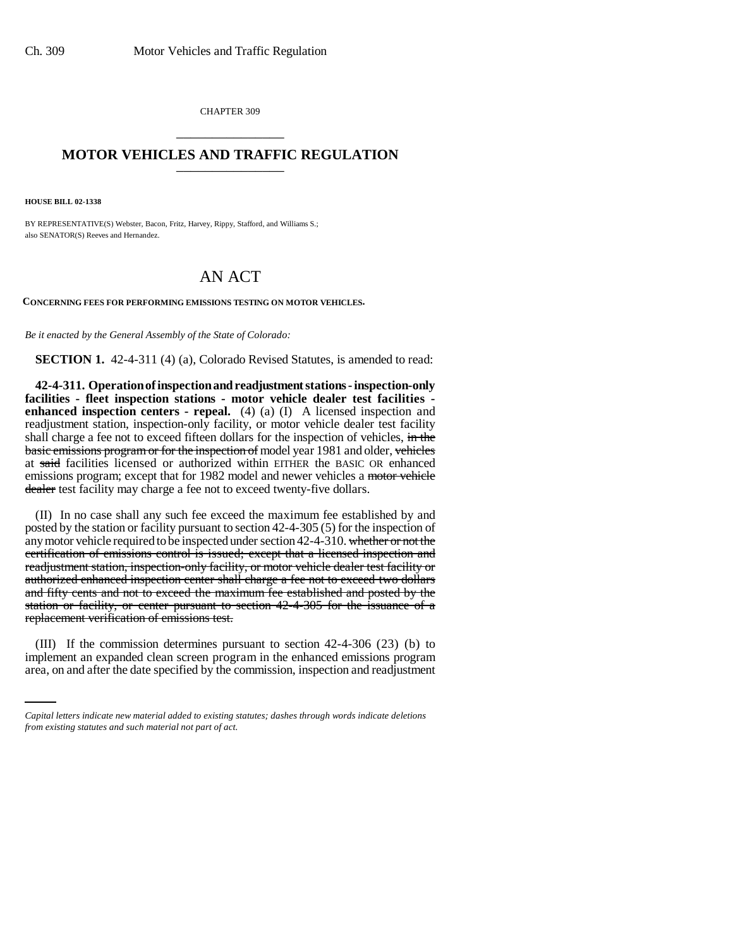CHAPTER 309 \_\_\_\_\_\_\_\_\_\_\_\_\_\_\_

## **MOTOR VEHICLES AND TRAFFIC REGULATION** \_\_\_\_\_\_\_\_\_\_\_\_\_\_\_

**HOUSE BILL 02-1338**

BY REPRESENTATIVE(S) Webster, Bacon, Fritz, Harvey, Rippy, Stafford, and Williams S.; also SENATOR(S) Reeves and Hernandez.

## AN ACT

**CONCERNING FEES FOR PERFORMING EMISSIONS TESTING ON MOTOR VEHICLES.**

*Be it enacted by the General Assembly of the State of Colorado:*

**SECTION 1.** 42-4-311 (4) (a), Colorado Revised Statutes, is amended to read:

**42-4-311. Operation of inspection and readjustment stations - inspection-only facilities - fleet inspection stations - motor vehicle dealer test facilities enhanced inspection centers - repeal.** (4) (a) (I) A licensed inspection and readjustment station, inspection-only facility, or motor vehicle dealer test facility shall charge a fee not to exceed fifteen dollars for the inspection of vehicles, in the basic emissions program or for the inspection of model year 1981 and older, vehicles at said facilities licensed or authorized within EITHER the BASIC OR enhanced emissions program; except that for 1982 model and newer vehicles a motor vehicle dealer test facility may charge a fee not to exceed twenty-five dollars.

(II) In no case shall any such fee exceed the maximum fee established by and posted by the station or facility pursuant to section 42-4-305 (5) for the inspection of any motor vehicle required to be inspected under section 42-4-310. whether or not the certification of emissions control is issued; except that a licensed inspection and readjustment station, inspection-only facility, or motor vehicle dealer test facility or authorized enhanced inspection center shall charge a fee not to exceed two dollars and fifty cents and not to exceed the maximum fee established and posted by the station or facility, or center pursuant to section 42-4-305 for the issuance of a replacement verification of emissions test.

(III) If the commission determines pursuant to section 42-4-306 (23) (b) to implement an expanded clean screen program in the enhanced emissions program area, on and after the date specified by the commission, inspection and readjustment

*Capital letters indicate new material added to existing statutes; dashes through words indicate deletions from existing statutes and such material not part of act.*